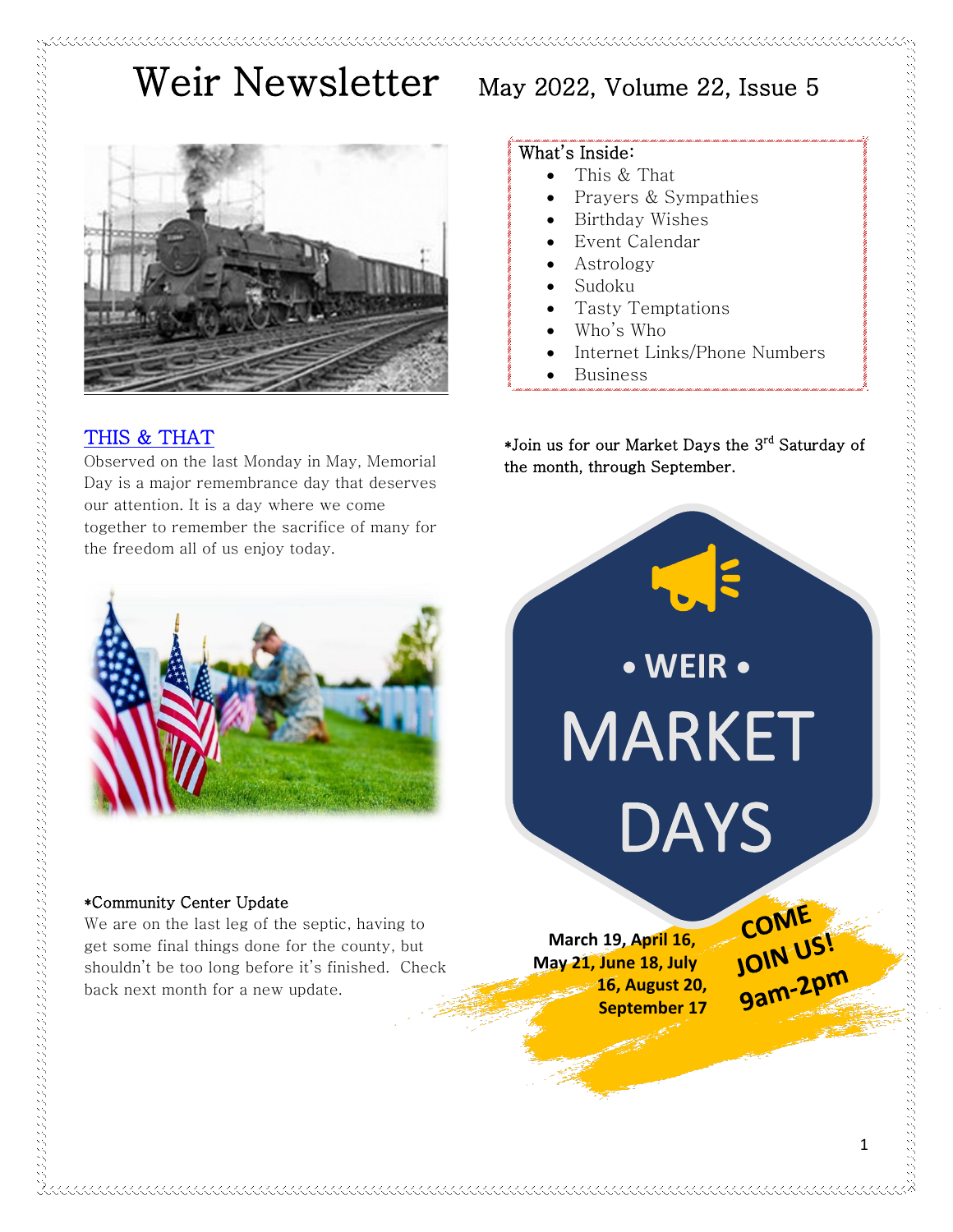

## THIS & THAT

Observed on the last Monday in May, Memorial Day is a major remembrance day that deserves our attention. It is a day where we come together to remember the sacrifice of many for the freedom all of us enjoy today.

# What's Inside:

- This & That
- Prayers & Sympathies
- Birthday Wishes
- Event Calendar
- Astrology
- Sudoku
- Tasty Temptations
- Who's Who
- Internet Links/Phone Numbers
- **Business**

\*Join us for our Market Days the 3rd Saturday of the month, through September.



### \*Community Center Update

We are on the last leg of the septic, having to get some final things done for the county, but shouldn't be too long before it's finished. Check back next month for a new update.

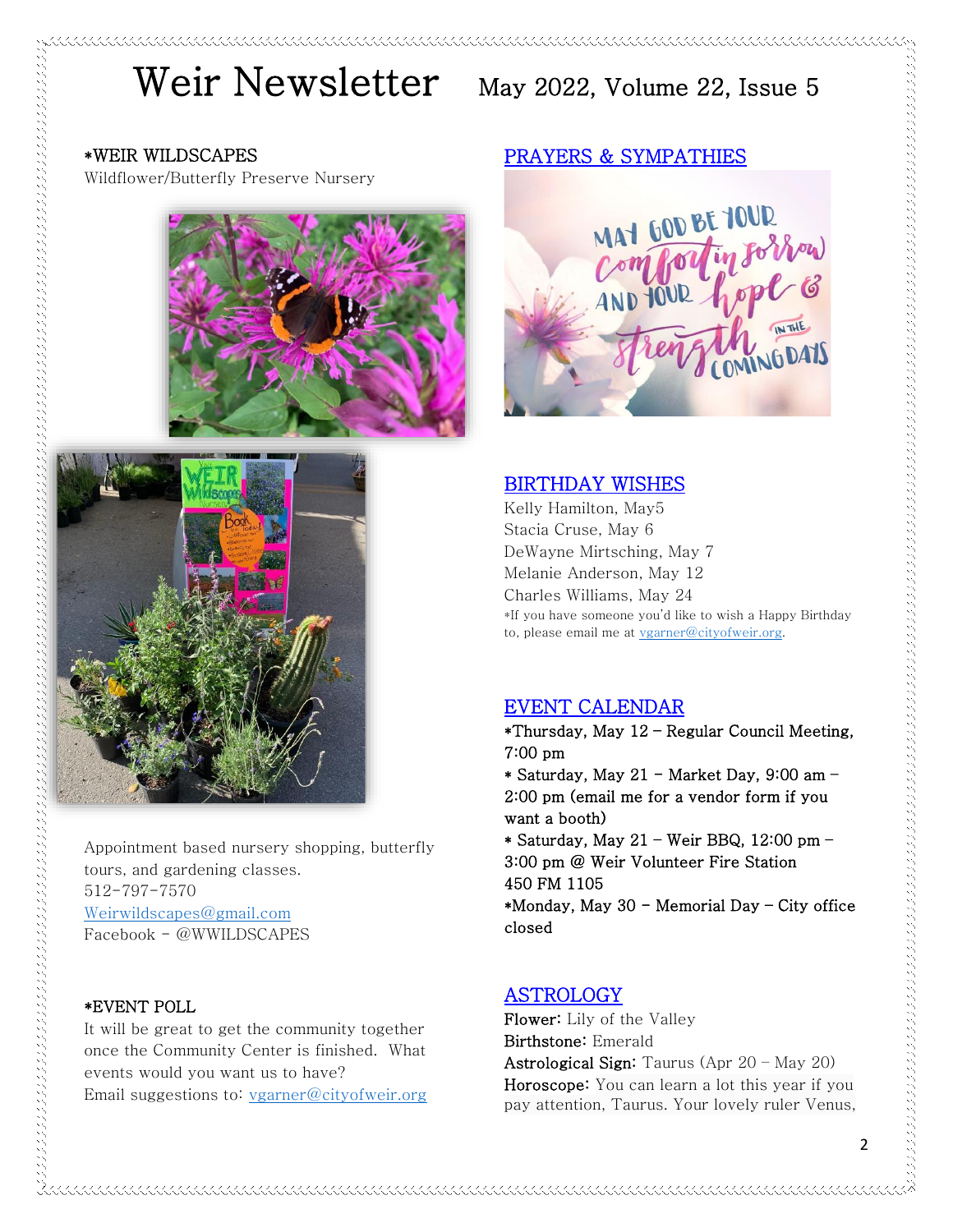## \*WEIR WILDSCAPES

Wildflower/Butterfly Preserve Nursery





Appointment based nursery shopping, butterfly tours, and gardening classes. 512-797-7570 [Weirwildscapes@gmail.com](mailto:Weirwildscapes@gmail.com) Facebook - @WWILDSCAPES

#### \*EVENT POLL

きょうこう こうこう いちょう いちょうじょう いちょう こうこうこうじょう

It will be great to get the community together once the Community Center is finished. What events would you want us to have? Email suggestions to: [vgarner@cityofweir.org](mailto:vgarner@cityofweir.org)

## PRAYERS & SYMPATHIES



### BIRTHDAY WISHES

Kelly Hamilton, May5 Stacia Cruse, May 6 DeWayne Mirtsching, May 7 Melanie Anderson, May 12 Charles Williams, May 24 \*If you have someone you'd like to wish a Happy Birthday to, please email me at [vgarner@cityofweir.org.](mailto:vgarner@cityofweir.org) 

## EVENT CALENDAR

- \*Thursday, May 12 Regular Council Meeting, 7:00 pm
- \* Saturday, May 21 Market Day, 9:00 am -2:00 pm (email me for a vendor form if you want a booth)
- \* Saturday, May 21 Weir BBQ, 12:00 pm 3:00 pm @ Weir Volunteer Fire Station 450 FM 1105
- \*Monday, May 30 Memorial Day City office closed

## ASTROLOGY

Flower: Lily of the Valley Birthstone: Emerald Astrological Sign: Taurus (Apr 20 – May 20) Horoscope: You can learn a lot this year if you pay attention, Taurus. Your lovely ruler Venus,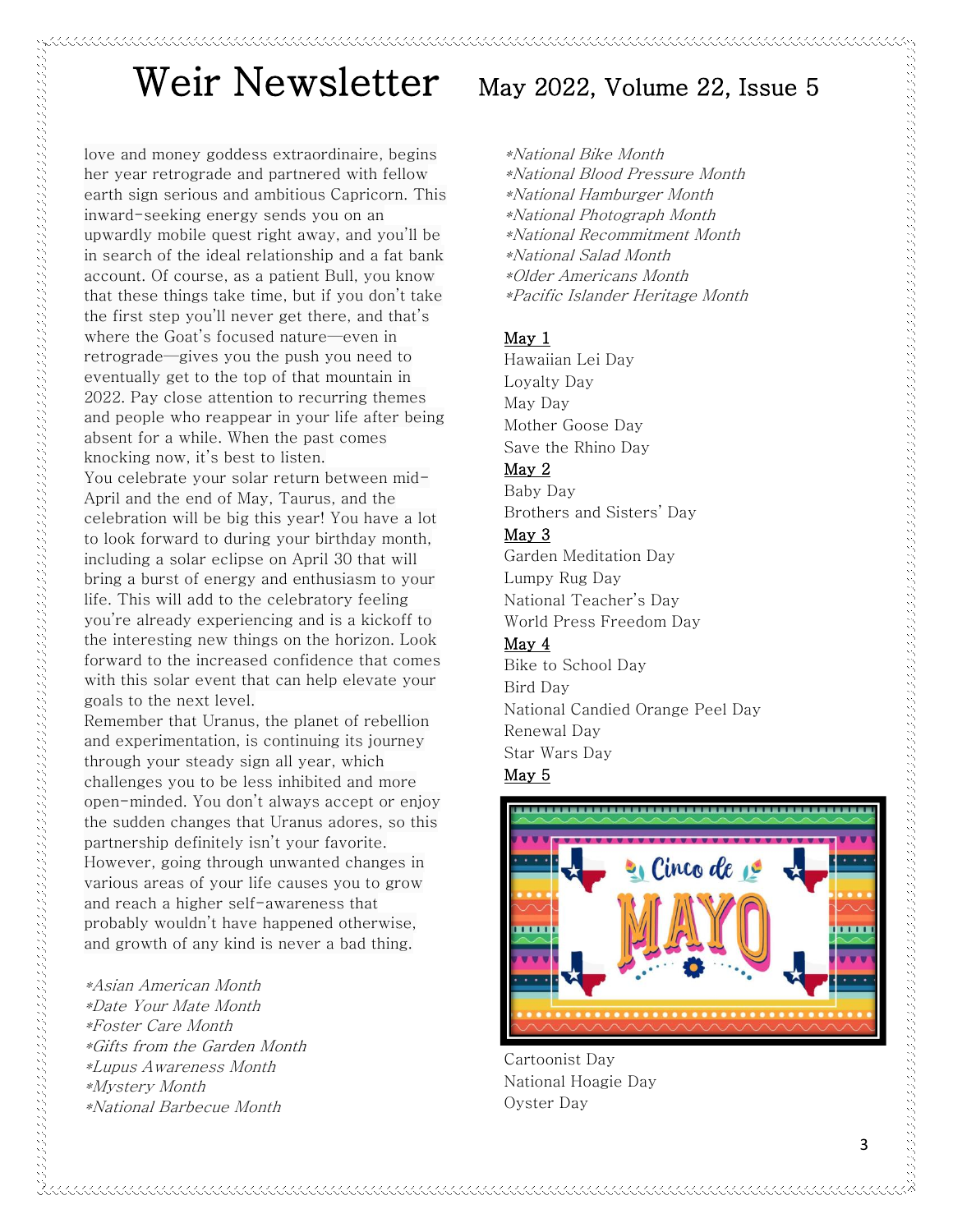love and money goddess extraordinaire, begins her year retrograde and partnered with fellow earth sign serious and ambitious Capricorn. This inward-seeking energy sends you on an upwardly mobile quest right away, and you'll be in search of the ideal relationship and a fat bank account. Of course, as a patient Bull, you know that these things take time, but if you don't take the first step you'll never get there, and that's where the Goat's focused nature—even in retrograde—gives you the push you need to eventually get to the top of that mountain in 2022. Pay close attention to recurring themes and people who reappear in your life after being absent for a while. When the past comes knocking now, it's best to listen. You celebrate your solar return between mid-April and the end of May, Taurus, and the celebration will be big this year! You have a lot to look forward to during your birthday month, including a solar eclipse on April 30 that will bring a burst of energy and enthusiasm to your life. This will add to the celebratory feeling you're already experiencing and is a kickoff to the interesting new things on the horizon. Look forward to the increased confidence that comes with this solar event that can help elevate your goals to the next level. Remember that Uranus, the planet of rebellion

and experimentation, is continuing its journey through your steady sign all year, which challenges you to be less inhibited and more open-minded. You don't always accept or enjoy the sudden changes that Uranus adores, so this partnership definitely isn't your favorite. However, going through unwanted changes in various areas of your life causes you to grow and reach a higher self-awareness that probably wouldn't have happened otherwise, and growth of any kind is never a bad thing.

\*Asian American Month \*Date Your Mate Month \*Foster Care Month [\\*Gifts from the Garden Month](https://holidayinsights.com/moreholidays/May/gifts-from-garden-month.htm) \*Lupus Awareness Month \*Mystery Month \*National Barbecue Month

\*National Bike Month \*National Blood Pressure Month \*National Hamburger Month \*National Photograph Month \*National Recommitment Month \*National Salad Month \*Older Americans Month \*Pacific Islander Heritage Month

#### May 1

Hawaiian Lei Day Loyalty Day May Day Mother Goose Day Save the Rhino Day

#### May 2

Baby Day Brothers and Sisters' Day

#### May 3

Garden Meditation Day Lumpy Rug Day National Teacher's Day World Press Freedom Day

#### May 4

Bike to School Day Bird Day National Candied Orange Peel Day Renewal Day Star Wars Day

#### May 5



Cartoonist Day National Hoagie Day Oyster Day

en de construcción de construcción de producción de construcción de construcción de construcción de construcció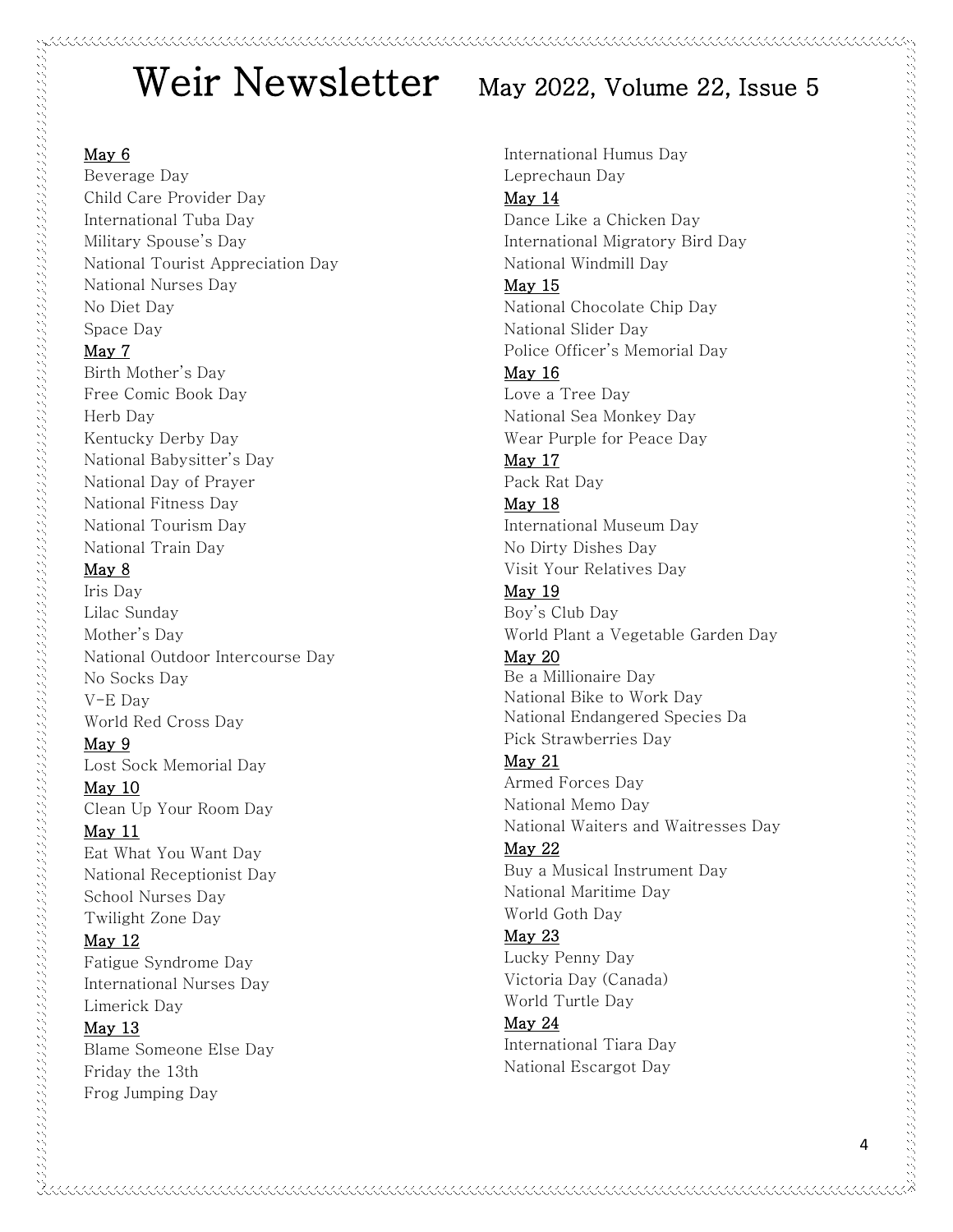### May 6

Beverage Day Child Care Provider Day International Tuba Day Military Spouse's Day National Tourist Appreciation Day National Nurses Day No Diet Day Space Day

#### May 7

Birth Mother's Day Free Comic Book Day Herb Day Kentucky Derby Day National Babysitter's Day National Day of Prayer National Fitness Day National Tourism Day National Train Day

#### May 8

Iris Day Lilac Sunday Mother's Day National Outdoor Intercourse Day No Socks Day V-E Day World Red Cross Day

#### May 9

Lost Sock Memorial Day May 10

Clean Up Your Room Day

#### May 11

Eat What You Want Day National Receptionist Day School Nurses Day Twilight Zone Day

#### May 12

Fatigue Syndrome Day International Nurses Day Limerick Day

#### May 13

Blame Someone Else Day Friday the 13th Frog Jumping Day

International Humus Day Leprechaun Day May 14 Dance Like a Chicken Day International Migratory Bird Day National Windmill Day May 15 National Chocolate Chip Day National Slider Day Police Officer's Memorial Day May 16 Love a Tree Day National Sea Monkey Day Wear Purple for Peace Day May 17 Pack Rat Day May 18 International Museum Day No Dirty Dishes Day Visit Your Relatives Day May 19 Boy's Club Day World Plant a Vegetable Garden Day May 20 Be a Millionaire Day National Bike to Work Day National Endangered Species Da Pick Strawberries Day May 21 Armed Forces Day National Memo Day National Waiters and Waitresses Day May 22 Buy a Musical Instrument Day National Maritime Day World Goth Day May 23 Lucky Penny Day Victoria Day (Canada) World Turtle Day May 24 International Tiara Day National Escargot Day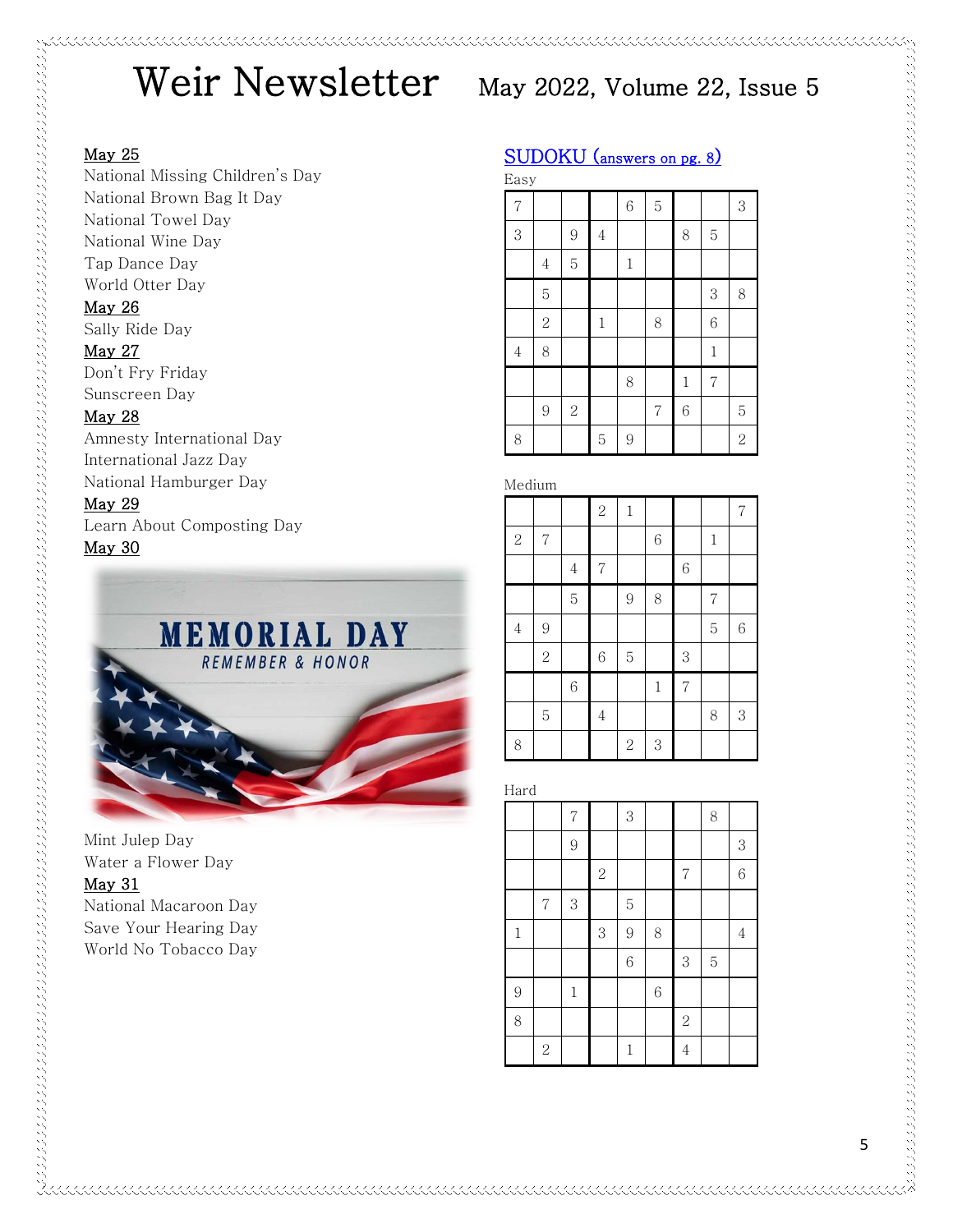#### May 25

National Missing Children's Day National Brown Bag It Day National Towel Day National Wine Day Tap Dance Day World Otter Day May 26

Sally Ride Day May 27

Don't Fry Friday Sunscreen Day

#### May 28

Amnesty International Day International Jazz Day National Hamburger Day

#### May 29

Mint Julep Day Water a Flower Day

National Macaroon Day Save Your Hearing Day World No Tobacco Day

May 31

Learn About Composting Day May 30

> **MEMORIAL DAY REMEMBER & HONOR**

## SUDOKU (answers on pg. 8)

| Easy           |                |                |            |              |                |       |                |                |
|----------------|----------------|----------------|------------|--------------|----------------|-------|----------------|----------------|
| $\overline{7}$ |                |                |            | $\sqrt{6}$   | $\overline{5}$ |       |                | 3              |
| 3              |                | $\overline{9}$ | $\sqrt{4}$ |              |                | 8     | $\overline{5}$ |                |
|                | $\overline{4}$ | $\overline{5}$ |            | $\mathbf{1}$ |                |       |                |                |
|                | 5              |                |            |              |                |       | 3              | 8              |
|                | $\overline{2}$ |                | $\,1$      |              | 8              |       | 6              |                |
| $\overline{4}$ | 8              |                |            |              |                |       | $\mathbf{1}$   |                |
|                |                |                |            | 8            |                | $\,1$ | $\overline{7}$ |                |
|                | 9              | $\overline{2}$ |            |              | $\overline{7}$ | 6     |                | 5              |
| 8              |                |                | 5          | 9            |                |       |                | $\overline{2}$ |

Medium

|            |                |                | $\overline{2}$ | $\mathbf{1}$   |             |                |                | $\sqrt{2}$ |
|------------|----------------|----------------|----------------|----------------|-------------|----------------|----------------|------------|
| $\sqrt{2}$ | $\overline{7}$ |                |                |                | $\sqrt{6}$  |                | $\mathbf 1$    |            |
|            |                | $\overline{4}$ | $\overline{7}$ |                |             | $\sqrt{6}$     |                |            |
|            |                | $\overline{5}$ |                | 9              | 8           |                | $\overline{7}$ |            |
| $\sqrt{4}$ | 9              |                |                |                |             |                | $\overline{5}$ | 6          |
|            | $\overline{2}$ |                | 6              | $\overline{5}$ |             | $\,3$          |                |            |
|            |                | $\overline{6}$ |                |                | $\mathbf 1$ | $\overline{7}$ |                |            |
|            | $\overline{5}$ |                | $\overline{4}$ |                |             |                | 8              | 3          |
| 8          |                |                |                | $\overline{2}$ | 3           |                |                |            |

Hard

|              |                | $\overline{7}$ |            | 3              |            |                | 8              |            |
|--------------|----------------|----------------|------------|----------------|------------|----------------|----------------|------------|
|              |                | 9              |            |                |            |                |                | 3          |
|              |                |                | $\sqrt{2}$ |                |            | $\overline{7}$ |                | $\sqrt{6}$ |
|              | $\overline{7}$ | 3              |            | $\overline{5}$ |            |                |                |            |
| $\mathbf{1}$ |                |                | $\,3$      | 9              | 8          |                |                | 4          |
|              |                |                |            | 6              |            | 3              | $\overline{5}$ |            |
| 9            |                | $\mathbf{1}$   |            |                | $\sqrt{6}$ |                |                |            |
| 8            |                |                |            |                |            | $\sqrt{2}$     |                |            |
|              | $\sqrt{2}$     |                |            | $\mathbf{1}$   |            | $\overline{4}$ |                |            |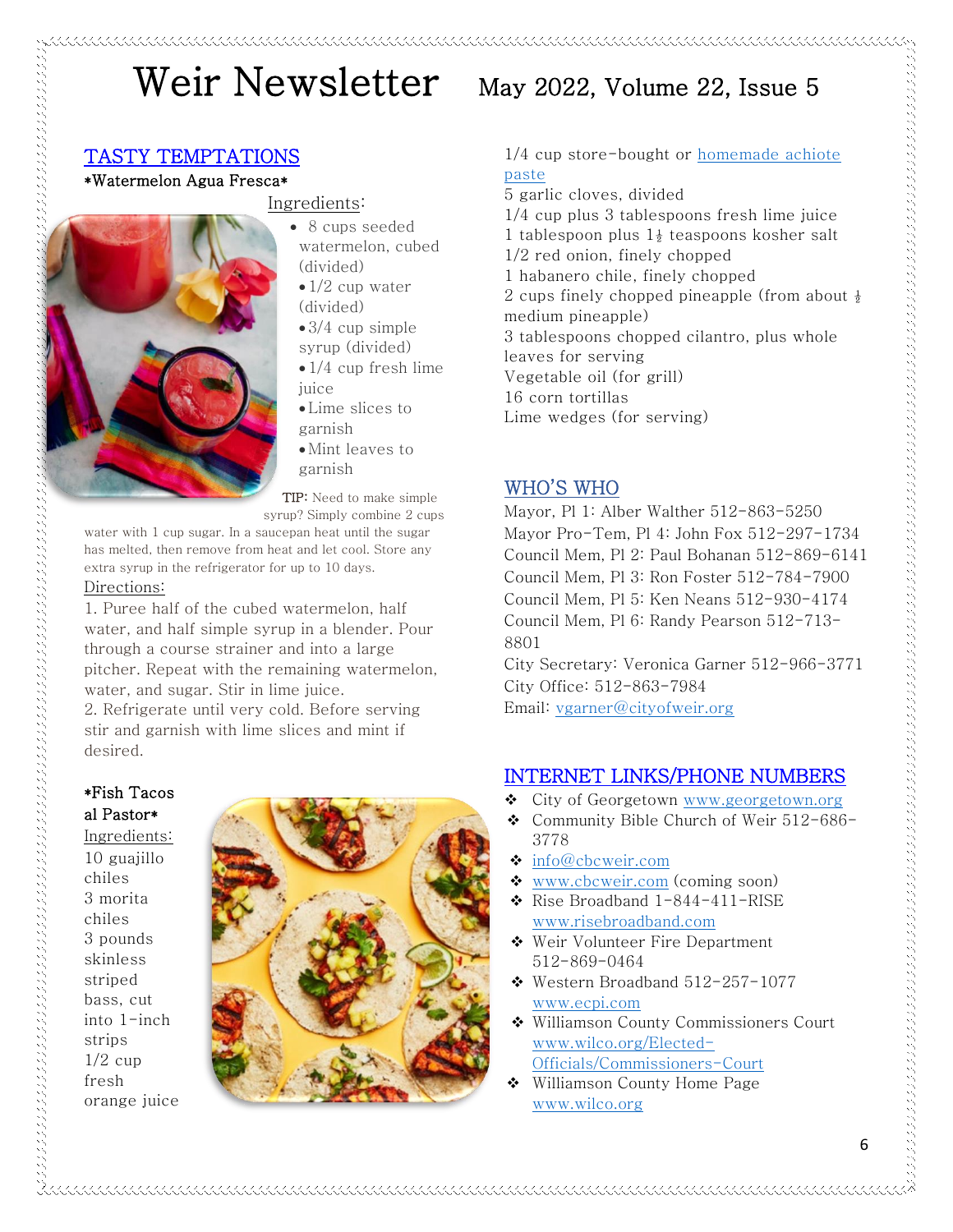### TASTY TEMPTATIONS

#### \*Watermelon Agua Fresca\*

#### Ingredients:

- 8 cups seeded watermelon, cubed (divided)
- •1/2 cup water (divided)
- 3/4 cup simple
- syrup (divided)
- $1/4$  cup fresh lime iuice
- •Lime slices to garnish
- •Mint leaves to garnish

TIP: Need to make simple

syrup? Simply combine 2 cups

water with 1 cup sugar. In a saucepan heat until the sugar has melted, then remove from heat and let cool. Store any extra syrup in the refrigerator for up to 10 days.

#### Directions:

1. Puree half of the cubed watermelon, half water, and half simple syrup in a blender. Pour through a course strainer and into a large pitcher. Repeat with the remaining watermelon, water, and sugar. Stir in lime juice.

2. Refrigerate until very cold. Before serving stir and garnish with lime slices and mint if desired.

### \*Fish Tacos al Pastor\*

. המשפט המשפט המשפט המשפט המשפט המשפט המשפט המשפט המשפט המשפט המשפט המשפט המשפט המשפט המשפט המשפט המשפט המשפט

Ingredients: 10 guajillo chiles 3 morita chiles 3 pounds skinless striped bass, cut into 1-inch strips  $1/2$  cup fresh orange juice



1/4 cup store-bought or [homemade achiote](http://www.bonappetit.com/recipe/achiote-paste)  [paste](http://www.bonappetit.com/recipe/achiote-paste)

5 garlic cloves, divided

1/4 cup plus 3 tablespoons fresh lime juice 1 tablespoon plus  $1\frac{1}{2}$  teaspoons kosher salt 1/2 red onion, finely chopped 1 habanero chile, finely chopped 2 cups finely chopped pineapple (from about  $\frac{1}{2}$ ) medium pineapple) 3 tablespoons chopped cilantro, plus whole leaves for serving Vegetable oil (for grill) 16 corn tortillas

Lime wedges (for serving)

### WHO'S WHO

Mayor, Pl 1: Alber Walther 512-863-5250 Mayor Pro-Tem, Pl 4: John Fox 512-297-1734 Council Mem, Pl 2: Paul Bohanan 512-869-6141 Council Mem, Pl 3: Ron Foster 512-784-7900 Council Mem, Pl 5: Ken Neans 512-930-4174 Council Mem, Pl 6: Randy Pearson 512-713- 8801

City Secretary: Veronica Garner 512-966-3771 City Office: 512-863-7984

Email: [vgarner@cityofweir.org](mailto:vgarner@cityofweir.org)

### INTERNET LINKS/PHONE NUMBERS

- ❖ City of Georgetown [www.georgetown.org](http://www.georgetown.org/)
- ❖ Community Bible Church of Weir 512-686- 3778
- $\cdot$  [info@cbcweir.com](mailto:info@cbcweir.com)
- ❖ [www.cbcweir.com](http://www.cbcweir.com/) (coming soon)
- ❖ Rise Broadband 1-844-411-RISE [www.risebroadband.com](http://www.risebroadband.com/)
- ❖ Weir Volunteer Fire Department 512-869-0464
- ❖ Western Broadband 512-257-1077 [www.ecpi.com](http://www.ecpi.com/)
- ❖ Williamson County Commissioners Court [www.wilco.org/Elected-](http://www.wilco.org/Elected-Officials/Commissioners-Court)[Officials/Commissioners-Court](http://www.wilco.org/Elected-Officials/Commissioners-Court)
- ❖ Williamson County Home Page [www.wilco.org](http://www.wilco.org/)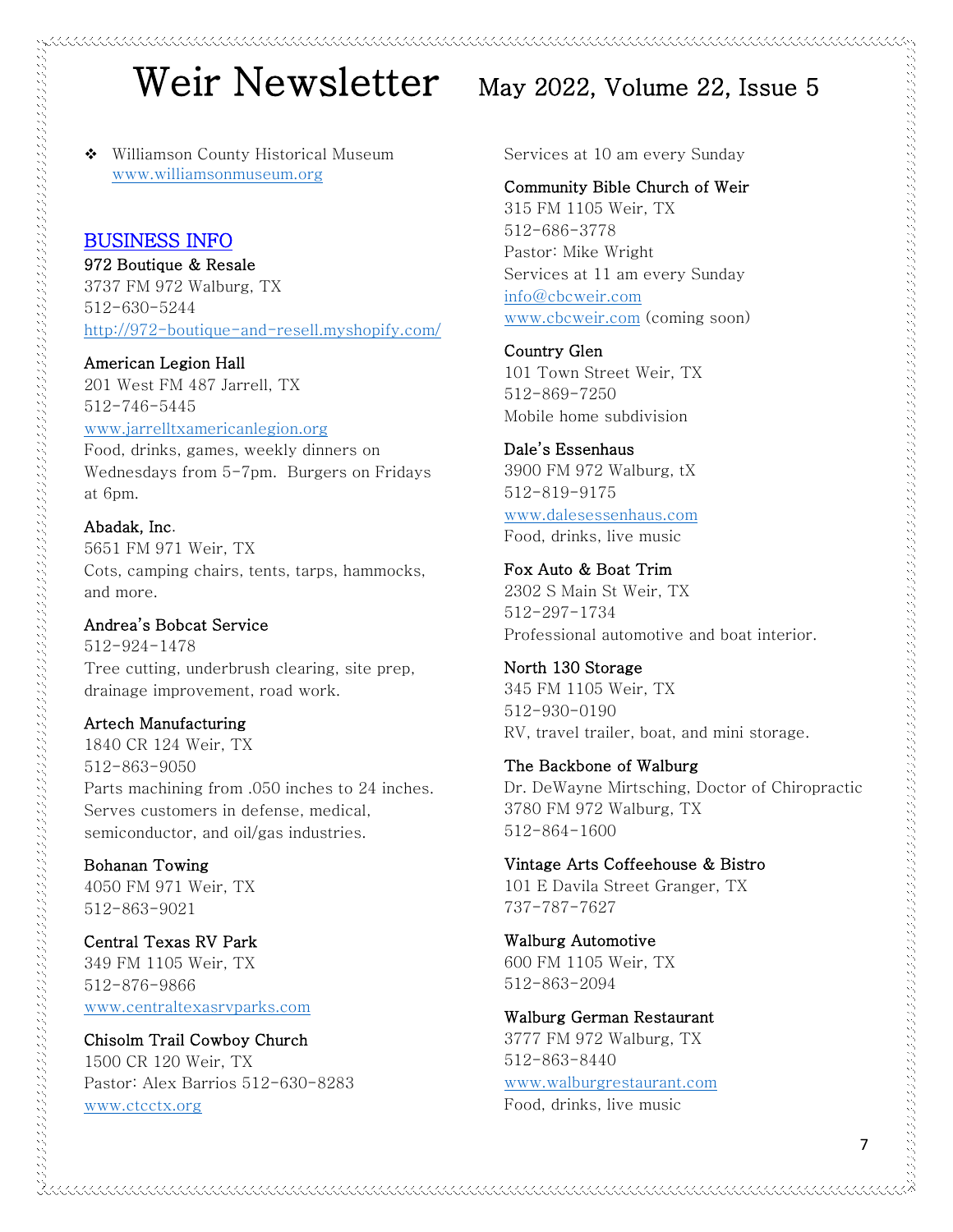❖ Williamson County Historical Museum [www.williamsonmuseum.org](http://www.williamsonmuseum.org/)

#### BUSINESS INFO

972 Boutique & Resale

3737 FM 972 Walburg, TX 512-630-5244 <http://972-boutique-and-resell.myshopify.com/>

#### American Legion Hall

201 West FM 487 Jarrell, TX 512-746-5445

[www.jarrelltxamericanlegion.org](http://www.jarrelltxamericanlegion.org/)

Food, drinks, games, weekly dinners on Wednesdays from 5-7pm. Burgers on Fridays at 6pm.

#### Abadak, Inc.

5651 FM 971 Weir, TX Cots, camping chairs, tents, tarps, hammocks, and more.

#### Andrea's Bobcat Service

512-924-1478 Tree cutting, underbrush clearing, site prep, drainage improvement, road work.

#### Artech Manufacturing

1840 CR 124 Weir, TX 512-863-9050 Parts machining from .050 inches to 24 inches. Serves customers in defense, medical, semiconductor, and oil/gas industries.

#### Bohanan Towing

4050 FM 971 Weir, TX 512-863-9021

Central Texas RV Park 349 FM 1105 Weir, TX 512-876-9866 [www.centraltexasrvparks.com](http://www.centraltexasrvparks.com/)

## Chisolm Trail Cowboy Church 1500 CR 120 Weir, TX Pastor: Alex Barrios 512-630-8283

[www.ctcctx.org](http://www.ctcctx.org/)

Services at 10 am every Sunday

#### Community Bible Church of Weir

315 FM 1105 Weir, TX 512-686-3778 Pastor: Mike Wright Services at 11 am every Sunday [info@cbcweir.com](mailto:info@cbcweir.com) [www.cbcweir.com](http://www.cbcweir.com/) (coming soon)

#### Country Glen

101 Town Street Weir, TX 512-869-7250 Mobile home subdivision

#### Dale's Essenhaus

3900 FM 972 Walburg, tX 512-819-9175 [www.dalesessenhaus.com](http://www.dalesessenhaus.com/) Food, drinks, live music

# Fox Auto & Boat Trim

2302 S Main St Weir, TX 512-297-1734 Professional automotive and boat interior.

# North 130 Storage 345 FM 1105 Weir, TX

512-930-0190 RV, travel trailer, boat, and mini storage.

#### The Backbone of Walburg

Dr. DeWayne Mirtsching, Doctor of Chiropractic 3780 FM 972 Walburg, TX 512-864-1600

#### Vintage Arts Coffeehouse & Bistro

101 E Davila Street Granger, TX 737-787-7627

#### Walburg Automotive 600 FM 1105 Weir, TX 512-863-2094

#### Walburg German Restaurant

3777 FM 972 Walburg, TX 512-863-8440 [www.walburgrestaurant.com](http://www.walburgrestaurant.com/) Food, drinks, live music